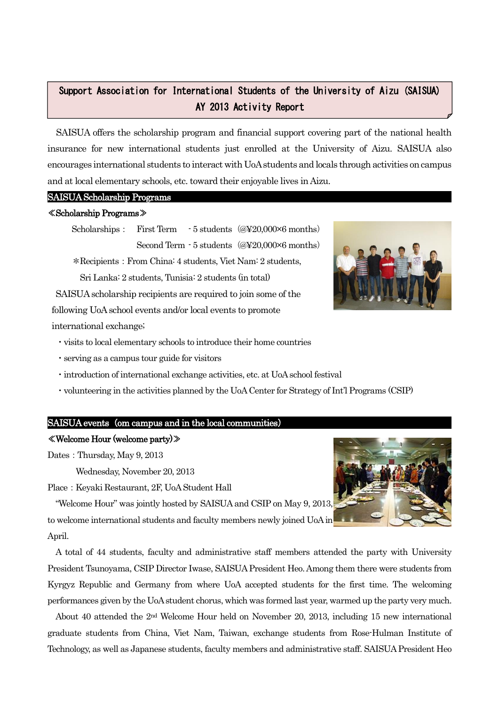### 12 Support Association for International Students of the University of Aizu (SAISUA) AY 2013 Activity Report

SAISUA offers the scholarship program and financial support covering part of the national health insurance for new international students just enrolled at the University of Aizu. SAISUA also encourages international students to interact with UoA students and locals through activities on campus and at local elementary schools, etc. toward their enjoyable lives in Aizu.

# SAISUA Scholarship Programs

#### ≪Scholarship Programs≫

Ē

Scholarships: First Term - 5 students (@¥20,000×6 months) Second Term - 5 students (@¥20,000×6 months)

 \*Recipients:From China: 4 students, Viet Nam: 2 students, Sri Lanka: 2 students, Tunisia: 2 students (in total) SAISUA scholarship recipients are required to join some of the

following UoA school events and/or local events to promote

international exchange;

・visits to local elementary schools to introduce their home countries

・serving as a campus tour guide for visitors

・introduction of international exchange activities, etc. at UoA school festival

・volunteering in the activities planned by the UoA Center for Strategy of Int'l Programs (CSIP)

# SAISUA events (om campus and in the local communities)

# ≪Welcome Hour (welcome party)≫

Dates: Thursday, May 9, 2013

Wednesday, November 20, 2013

Place: Keyaki Restaurant, 2F, UoA Student Hall

"Welcome Hour" was jointly hosted by SAISUA and CSIP on May 9, 2013, to welcome international students and faculty members newly joined UoA in April.

A total of 44 students, faculty and administrative staff members attended the party with University President Tsunoyama, CSIP Director Iwase, SAISUA President Heo.Among them there were students from Kyrgyz Republic and Germany from where UoA accepted students for the first time. The welcoming performances given by the UoA student chorus, which was formed last year, warmed up the party very much.

About 40 attended the 2nd Welcome Hour held on November 20, 2013, including 15 new international graduate students from China, Viet Nam, Taiwan, exchange students from Rose-Hulman Institute of Technology, as well as Japanese students, faculty members and administrative staff. SAISUA President Heo